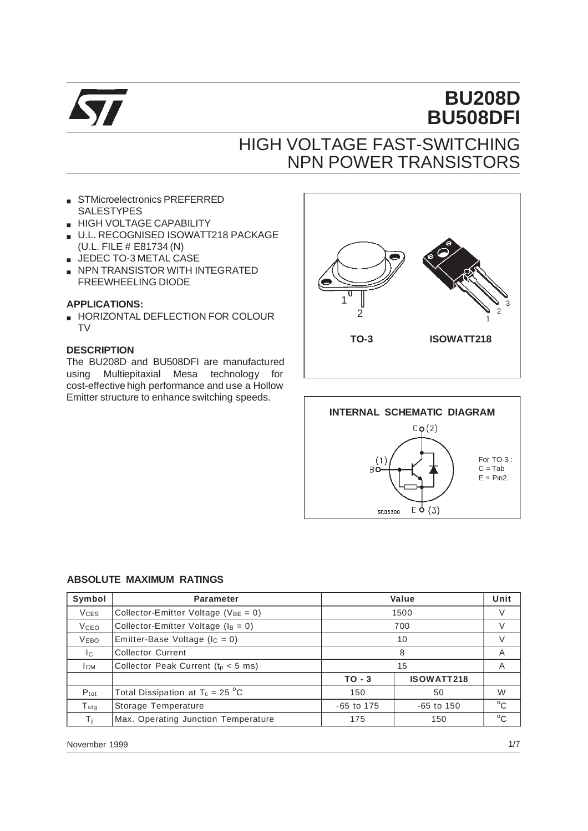

# **BU208D BU508DFI**

# HIGH VOLTAGE FAST-SWITCHING NPN POWER TRANSISTORS

- STMicroelectronics PREFERRED SALESTYPES
- **HIGH VOLTAGE CAPABILITY**
- U.L. RECOGNISED ISOWATT218 PACKAGE (U.L. FILE # E81734 (N)
- JEDEC TO-3 METAL CASE
- NPN TRANSISTOR WITH INTEGRATED FREEWHEELING DIODE

### **APPLICATIONS:**

■ HORIZONTAL DEFLECTION FOR COLOUR TV

### **DESCRIPTION**

The BU208D and BU508DFI are manufactured using Multiepitaxial Mesa technology for cost-effective high performance and use a Hollow Emitter structure to enhance switching speeds.





### **ABSOLUTE MAXIMUM RATINGS**

| Symbol                 | <b>Parameter</b>                           | Value        |                   | Unit         |
|------------------------|--------------------------------------------|--------------|-------------------|--------------|
| <b>V<sub>CES</sub></b> | Collector-Emitter Voltage ( $V_{BE} = 0$ ) |              | 1500              |              |
| <b>V</b> ceo           | Collector-Emitter Voltage ( $I_B = 0$ )    |              | 700               | V            |
| <b>VEBO</b>            | Emitter-Base Voltage ( $I_c = 0$ )         | 10           |                   | V            |
| Ic.                    | <b>Collector Current</b>                   | 8            |                   | Α            |
| Iсм                    | Collector Peak Current ( $t0 < 5$ ms)      | 15           |                   | A            |
|                        |                                            | $TO - 3$     | <b>ISOWATT218</b> |              |
| $P_{\text{tot}}$       | Total Dissipation at $T_c = 25$ °C         | 150          | 50                | W            |
| $T_{\rm stg}$          | Storage Temperature                        | $-65$ to 175 | $-65$ to 150      | $^{\circ}$ C |
| Тı                     | Max. Operating Junction Temperature        | 175          | 150               | $^{\circ}$ C |

November 1999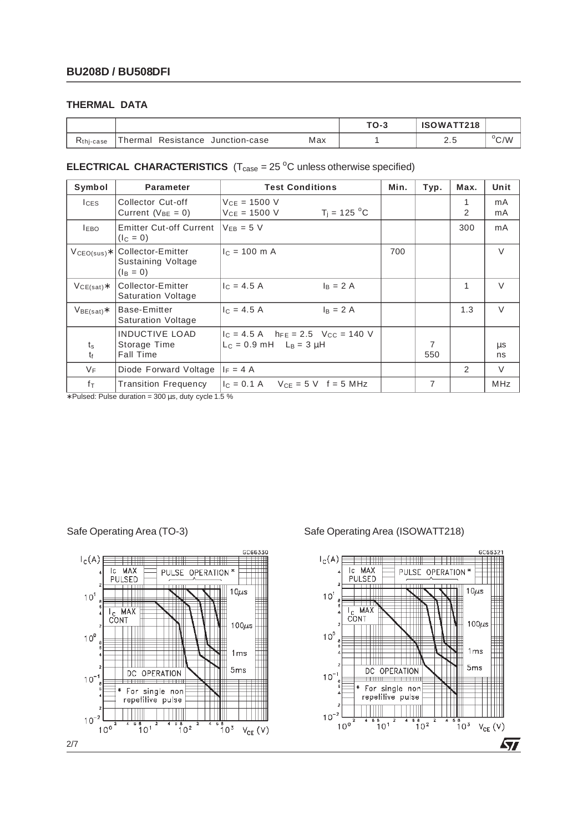### **THERMAL DATA**

|                       |                                        |     | $TO-3$ | ISOWATT218 |               |
|-----------------------|----------------------------------------|-----|--------|------------|---------------|
| K <sub>thj-case</sub> | Thermal<br>Resistance<br>Junction-case | Max |        | ے .        | $\rm ^{o}C/W$ |

### **ELECTRICAL CHARACTERISTICS**  $(T_{\text{case}} = 25 \degree C \text{ unless otherwise specified})$

| Symbol                      | <b>Parameter</b>                                          | <b>Test Conditions</b>                                                                 | Min. | Typ.                  | Max.          | Unit          |
|-----------------------------|-----------------------------------------------------------|----------------------------------------------------------------------------------------|------|-----------------------|---------------|---------------|
| $l$ <sub>CES</sub>          | Collector Cut-off<br>Current ( $V_{BE} = 0$ )             | $V_{CE} = 1500 V$<br>$T_i = 125 °C$<br>$V_{CE} = 1500 V$                               |      |                       | 1<br>2        | mA<br>mA      |
| <b>LEBO</b>                 | <b>Emitter Cut-off Current</b><br>$(I_C = 0)$             | $V_{FB} = 5 V$                                                                         |      |                       | 300           | mA            |
| $V_{\mathsf{CEO(sus)}\ast}$ | Collector-Emitter<br>Sustaining Voltage<br>$(I_B = 0)$    | $c = 100$ m A                                                                          | 700  |                       |               | $\vee$        |
| $VCE(sat)$ *                | Collector-Emitter<br><b>Saturation Voltage</b>            | $c = 4.5 A$<br>$I_B = 2A$                                                              |      |                       | 1             | $\vee$        |
| $V_{BE(sat)}$               | Base-Emitter<br><b>Saturation Voltage</b>                 | $c = 4.5 A$<br>$I_B = 2A$                                                              |      |                       | 1.3           | $\vee$        |
| $t_{\rm s}$<br>tr           | <b>INDUCTIVE LOAD</b><br>Storage Time<br><b>Fall Time</b> | $I_C = 4.5$ A $h_{FE} = 2.5$ V <sub>CC</sub> = 140 V<br>$L_C = 0.9$ mH $L_B = 3 \mu H$ |      | $\overline{7}$<br>550 |               | $\mu$ s<br>ns |
| $V_{\text{F}}$              | Diode Forward Voltage                                     | $F = 4A$                                                                               |      |                       | $\mathcal{P}$ | V             |
| fτ                          | <b>Transition Frequency</b>                               | $I_C = 0.1 A$ $V_{CE} = 5 V$ $f = 5 MHz$                                               |      | 7                     |               | <b>MHz</b>    |

∗ Pulsed: Pulse duration = 300 µs, duty cycle 1.5 %



### Safe Operating Area (TO-3) Safe Operating Area (ISOWATT218)

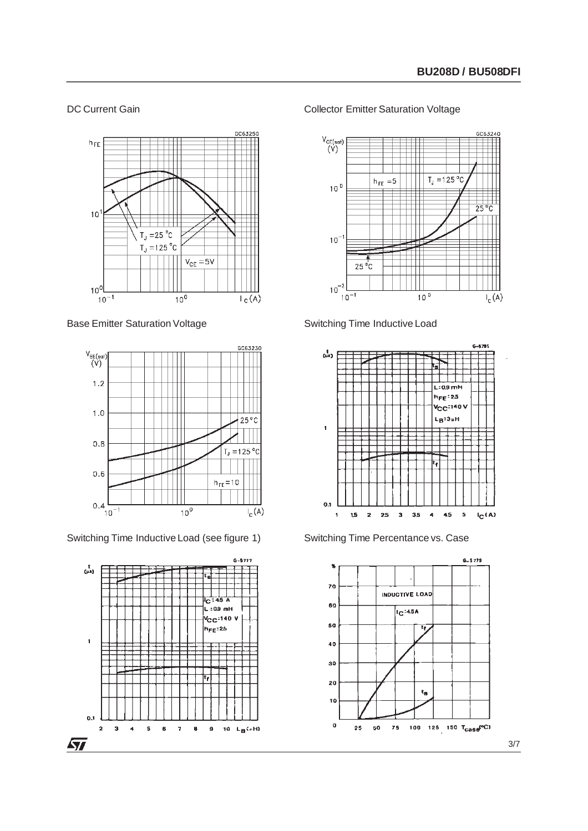### DC Current Gain



Base Emitter Saturation Voltage



Switching Time Inductive Load (see figure 1)



### Collector Emitter Saturation Voltage









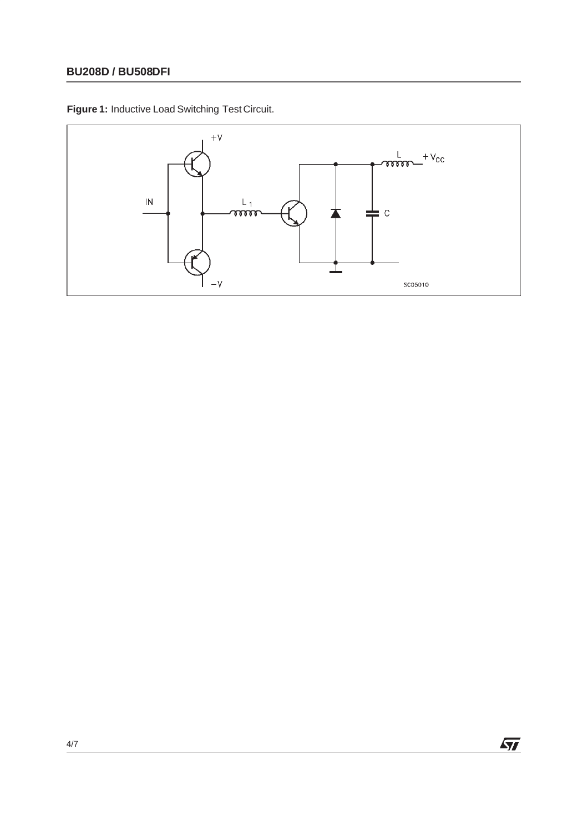## **BU208D / BU508DFI**

**Figure 1:** Inductive Load Switching Test Circuit.

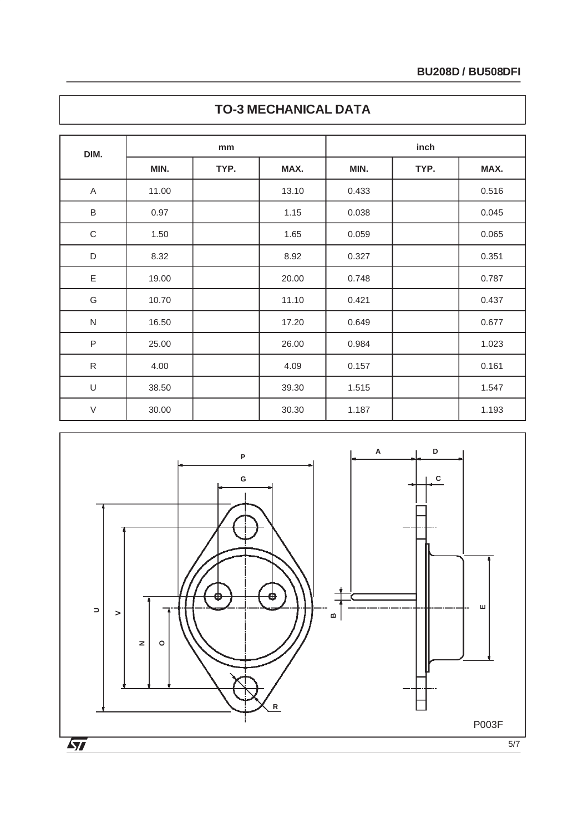| DIM.        | mm    |      |       | inch  |      |       |  |
|-------------|-------|------|-------|-------|------|-------|--|
|             | MIN.  | TYP. | MAX.  | MIN.  | TYP. | MAX.  |  |
| A           | 11.00 |      | 13.10 | 0.433 |      | 0.516 |  |
| $\sf B$     | 0.97  |      | 1.15  | 0.038 |      | 0.045 |  |
| $\mathsf C$ | 1.50  |      | 1.65  | 0.059 |      | 0.065 |  |
| $\mathsf D$ | 8.32  |      | 8.92  | 0.327 |      | 0.351 |  |
| $\mathsf E$ | 19.00 |      | 20.00 | 0.748 |      | 0.787 |  |
| G           | 10.70 |      | 11.10 | 0.421 |      | 0.437 |  |
| ${\sf N}$   | 16.50 |      | 17.20 | 0.649 |      | 0.677 |  |
| $\sf P$     | 25.00 |      | 26.00 | 0.984 |      | 1.023 |  |
| ${\sf R}$   | 4.00  |      | 4.09  | 0.157 |      | 0.161 |  |
| $\cup$      | 38.50 |      | 39.30 | 1.515 |      | 1.547 |  |
| $\vee$      | 30.00 |      | 30.30 | 1.187 |      | 1.193 |  |



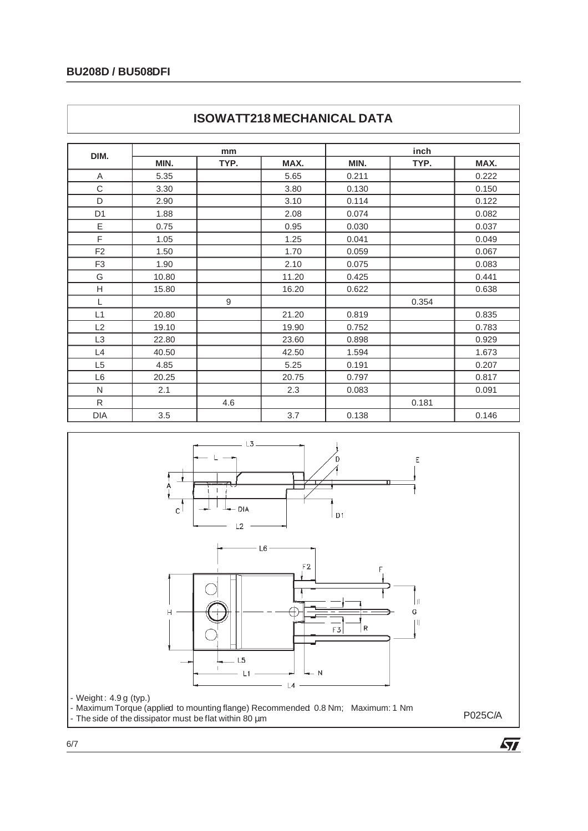## **BU208D / BU508DFI**

| DIM.           | mm    |      |       | inch  |       |       |
|----------------|-------|------|-------|-------|-------|-------|
|                | MIN.  | TYP. | MAX.  | MIN.  | TYP.  | MAX.  |
| A              | 5.35  |      | 5.65  | 0.211 |       | 0.222 |
| C              | 3.30  |      | 3.80  | 0.130 |       | 0.150 |
| D              | 2.90  |      | 3.10  | 0.114 |       | 0.122 |
| D <sub>1</sub> | 1.88  |      | 2.08  | 0.074 |       | 0.082 |
| Ε              | 0.75  |      | 0.95  | 0.030 |       | 0.037 |
| F              | 1.05  |      | 1.25  | 0.041 |       | 0.049 |
| F <sub>2</sub> | 1.50  |      | 1.70  | 0.059 |       | 0.067 |
| F <sub>3</sub> | 1.90  |      | 2.10  | 0.075 |       | 0.083 |
| G              | 10.80 |      | 11.20 | 0.425 |       | 0.441 |
| H              | 15.80 |      | 16.20 | 0.622 |       | 0.638 |
| L              |       | 9    |       |       | 0.354 |       |
| L1             | 20.80 |      | 21.20 | 0.819 |       | 0.835 |
| L2             | 19.10 |      | 19.90 | 0.752 |       | 0.783 |
| L <sub>3</sub> | 22.80 |      | 23.60 | 0.898 |       | 0.929 |
| L4             | 40.50 |      | 42.50 | 1.594 |       | 1.673 |
| L <sub>5</sub> | 4.85  |      | 5.25  | 0.191 |       | 0.207 |
| L <sub>6</sub> | 20.25 |      | 20.75 | 0.797 |       | 0.817 |
| N              | 2.1   |      | 2.3   | 0.083 |       | 0.091 |
| R              |       | 4.6  |       |       | 0.181 |       |
| <b>DIA</b>     | 3.5   |      | 3.7   | 0.138 |       | 0.146 |





 $\sqrt{27}$ 

6/7